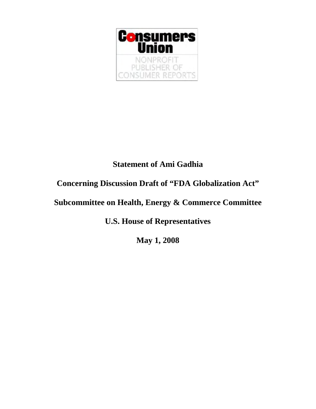

## **Statement of Ami Gadhia**

## **Concerning Discussion Draft of "FDA Globalization Act"**

# **Subcommittee on Health, Energy & Commerce Committee**

**U.S. House of Representatives** 

**May 1, 2008**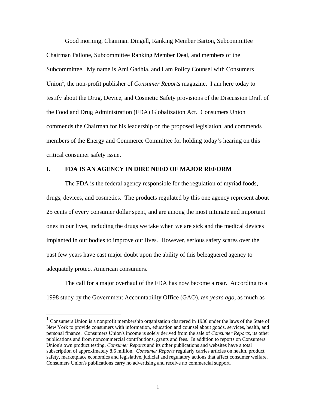Good morning, Chairman Dingell, Ranking Member Barton, Subcommittee Chairman Pallone, Subcommittee Ranking Member Deal, and members of the Subcommittee. My name is Ami Gadhia, and I am Policy Counsel with Consumers Union<sup>[1](#page-1-0)</sup>, the non-profit publisher of *Consumer Reports* magazine. I am here today to testify about the Drug, Device, and Cosmetic Safety provisions of the Discussion Draft of the Food and Drug Administration (FDA) Globalization Act. Consumers Union commends the Chairman for his leadership on the proposed legislation, and commends members of the Energy and Commerce Committee for holding today's hearing on this critical consumer safety issue.

#### **I. FDA IS AN AGENCY IN DIRE NEED OF MAJOR REFORM**

The FDA is the federal agency responsible for the regulation of myriad foods, drugs, devices, and cosmetics. The products regulated by this one agency represent about 25 cents of every consumer dollar spent, and are among the most intimate and important ones in our lives, including the drugs we take when we are sick and the medical devices implanted in our bodies to improve our lives. However, serious safety scares over the past few years have cast major doubt upon the ability of this beleaguered agency to adequately protect American consumers.

The call for a major overhaul of the FDA has now become a roar. According to a 1998 study by the Government Accountability Office (GAO), *ten years ago*, as much as

<span id="page-1-0"></span><sup>1</sup> Consumers Union is a nonprofit membership organization chartered in 1936 under the laws of the State of New York to provide consumers with information, education and counsel about goods, services, health, and personal finance. Consumers Union's income is solely derived from the sale of *Consumer Reports*, its other publications and from noncommercial contributions, grants and fees. In addition to reports on Consumers Union's own product testing, *Consumer Reports* and its other publications and websites have a total subscription of approximately 8.6 million. *Consumer Reports* regularly carries articles on health, product safety, marketplace economics and legislative, judicial and regulatory actions that affect consumer welfare. Consumers Union's publications carry no advertising and receive no commercial support.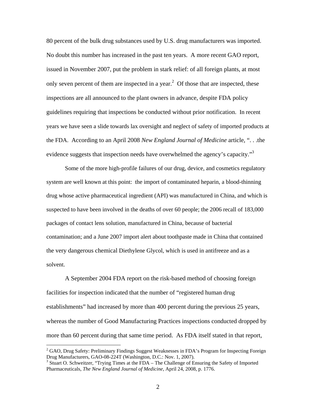80 percent of the bulk drug substances used by U.S. drug manufacturers was imported. No doubt this number has increased in the past ten years. A more recent GAO report, issued in November 2007, put the problem in stark relief: of all foreign plants, at most only seven percent of them are inspected in a year.<sup>[2](#page-2-0)</sup> Of those that are inspected, these inspections are all announced to the plant owners in advance, despite FDA policy guidelines requiring that inspections be conducted without prior notification. In recent years we have seen a slide towards lax oversight and neglect of safety of imported products at the FDA. According to an April 2008 *New England Journal of Medicine* article, ". . .the evidence suggests that inspection needs have overwhelmed the agency's capacity."<sup>[3](#page-2-1)</sup>

Some of the more high-profile failures of our drug, device, and cosmetics regulatory system are well known at this point: the import of contaminated heparin, a blood-thinning drug whose active pharmaceutical ingredient (API) was manufactured in China, and which is suspected to have been involved in the deaths of over 60 people; the 2006 recall of 183,000 packages of contact lens solution, manufactured in China, because of bacterial contamination; and a June 2007 import alert about toothpaste made in China that contained the very dangerous chemical Diethylene Glycol, which is used in antifreeze and as a solvent.

A September 2004 FDA report on the risk-based method of choosing foreign facilities for inspection indicated that the number of "registered human drug establishments" had increased by more than 400 percent during the previous 25 years, whereas the number of Good Manufacturing Practices inspections conducted dropped by more than 60 percent during that same time period. As FDA itself stated in that report,

 $\overline{a}$ 

<span id="page-2-0"></span> $2^2$  GAO, Drug Safety: Preliminary Findings Suggest Weaknesses in FDA's Program for Inspecting Foreign Drug Manufacturers, GAO-08-224T (Washington, D.C.: Nov. 1, 2007).

<span id="page-2-1"></span> $3$  Stuart O. Schweitzer, "Trying Times at the FDA – The Challenge of Ensuring the Safety of Imported Pharmaceuticals, *The New England Journal of Medicine*, April 24, 2008, p. 1776.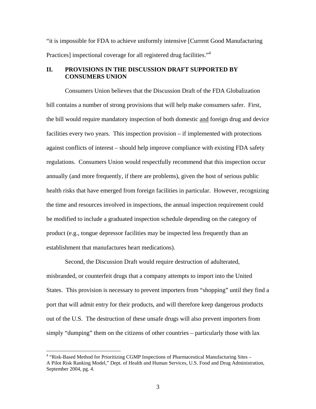"it is impossible for FDA to achieve uniformly intensive [Current Good Manufacturing Practices] inspectional coverage for all registered drug facilities."<sup>[4](#page-3-0)</sup>

### **II. PROVISIONS IN THE DISCUSSION DRAFT SUPPORTED BY CONSUMERS UNION**

Consumers Union believes that the Discussion Draft of the FDA Globalization bill contains a number of strong provisions that will help make consumers safer. First, the bill would require mandatory inspection of both domestic and foreign drug and device facilities every two years. This inspection provision – if implemented with protections against conflicts of interest – should help improve compliance with existing FDA safety regulations. Consumers Union would respectfully recommend that this inspection occur annually (and more frequently, if there are problems), given the host of serious public health risks that have emerged from foreign facilities in particular. However, recognizing the time and resources involved in inspections, the annual inspection requirement could be modified to include a graduated inspection schedule depending on the category of product (e.g., tongue depressor facilities may be inspected less frequently than an establishment that manufactures heart medications).

Second, the Discussion Draft would require destruction of adulterated, misbranded, or counterfeit drugs that a company attempts to import into the United States. This provision is necessary to prevent importers from "shopping" until they find a port that will admit entry for their products, and will therefore keep dangerous products out of the U.S. The destruction of these unsafe drugs will also prevent importers from simply "dumping" them on the citizens of other countries – particularly those with lax

<span id="page-3-0"></span><sup>&</sup>lt;sup>4</sup> "Risk-Based Method for Prioritizing CGMP Inspections of Pharmaceutical Manufacturing Sites -A Pilot Risk Ranking Model," Dept. of Health and Human Services, U.S. Food and Drug Administration, September 2004, pg. 4.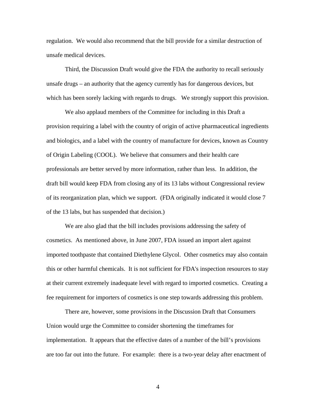regulation. We would also recommend that the bill provide for a similar destruction of unsafe medical devices.

Third, the Discussion Draft would give the FDA the authority to recall seriously unsafe drugs – an authority that the agency currently has for dangerous devices, but which has been sorely lacking with regards to drugs. We strongly support this provision.

We also applaud members of the Committee for including in this Draft a provision requiring a label with the country of origin of active pharmaceutical ingredients and biologics, and a label with the country of manufacture for devices, known as Country of Origin Labeling (COOL). We believe that consumers and their health care professionals are better served by more information, rather than less. In addition, the draft bill would keep FDA from closing any of its 13 labs without Congressional review of its reorganization plan, which we support. (FDA originally indicated it would close 7 of the 13 labs, but has suspended that decision.)

We are also glad that the bill includes provisions addressing the safety of cosmetics. As mentioned above, in June 2007, FDA issued an import alert against imported toothpaste that contained Diethylene Glycol. Other cosmetics may also contain this or other harmful chemicals. It is not sufficient for FDA's inspection resources to stay at their current extremely inadequate level with regard to imported cosmetics. Creating a fee requirement for importers of cosmetics is one step towards addressing this problem.

There are, however, some provisions in the Discussion Draft that Consumers Union would urge the Committee to consider shortening the timeframes for implementation. It appears that the effective dates of a number of the bill's provisions are too far out into the future. For example: there is a two-year delay after enactment of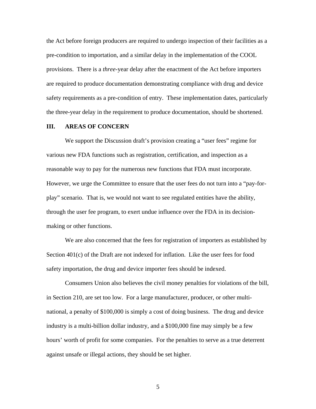the Act before foreign producers are required to undergo inspection of their facilities as a pre-condition to importation, and a similar delay in the implementation of the COOL provisions. There is a *three*-year delay after the enactment of the Act before importers are required to produce documentation demonstrating compliance with drug and device safety requirements as a pre-condition of entry. These implementation dates, particularly the three-year delay in the requirement to produce documentation, should be shortened.

### **III. AREAS OF CONCERN**

We support the Discussion draft's provision creating a "user fees" regime for various new FDA functions such as registration, certification, and inspection as a reasonable way to pay for the numerous new functions that FDA must incorporate. However, we urge the Committee to ensure that the user fees do not turn into a "pay-forplay" scenario. That is, we would not want to see regulated entities have the ability, through the user fee program, to exert undue influence over the FDA in its decisionmaking or other functions.

We are also concerned that the fees for registration of importers as established by Section 401(c) of the Draft are not indexed for inflation. Like the user fees for food safety importation, the drug and device importer fees should be indexed.

Consumers Union also believes the civil money penalties for violations of the bill, in Section 210, are set too low. For a large manufacturer, producer, or other multinational, a penalty of \$100,000 is simply a cost of doing business. The drug and device industry is a multi-billion dollar industry, and a \$100,000 fine may simply be a few hours' worth of profit for some companies. For the penalties to serve as a true deterrent against unsafe or illegal actions, they should be set higher.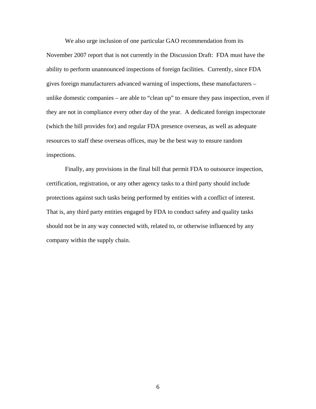We also urge inclusion of one particular GAO recommendation from its November 2007 report that is not currently in the Discussion Draft: FDA must have the ability to perform unannounced inspections of foreign facilities. Currently, since FDA gives foreign manufacturers advanced warning of inspections, these manufacturers – unlike domestic companies – are able to "clean up" to ensure they pass inspection, even if they are not in compliance every other day of the year. A dedicated foreign inspectorate (which the bill provides for) and regular FDA presence overseas, as well as adequate resources to staff these overseas offices, may be the best way to ensure random inspections.

Finally, any provisions in the final bill that permit FDA to outsource inspection, certification, registration, or any other agency tasks to a third party should include protections against such tasks being performed by entities with a conflict of interest. That is, any third party entities engaged by FDA to conduct safety and quality tasks should not be in any way connected with, related to, or otherwise influenced by any company within the supply chain.